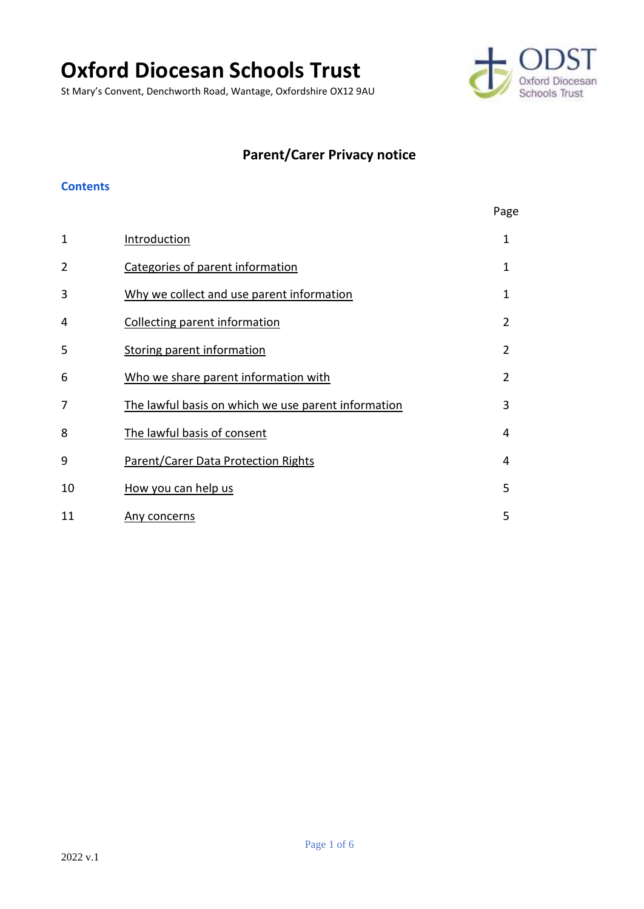# **Oxford Diocesan Schools Trust**

St Mary's Convent, Denchworth Road, Wantage, Oxfordshire OX12 9AU



# **Parent/Carer Privacy notice**

#### **Contents**

|              |                                                     | Page           |
|--------------|-----------------------------------------------------|----------------|
| $\mathbf{1}$ | Introduction                                        | 1              |
| 2            | Categories of parent information                    | 1              |
| 3            | Why we collect and use parent information           | 1              |
| 4            | Collecting parent information                       | $\overline{2}$ |
| 5            | Storing parent information                          | $\overline{2}$ |
| 6            | Who we share parent information with                | $\overline{2}$ |
| 7            | The lawful basis on which we use parent information | 3              |
| 8            | The lawful basis of consent                         | 4              |
| 9            | Parent/Carer Data Protection Rights                 | 4              |
| 10           | How you can help us                                 | 5              |
| 11           | Any concerns                                        | 5              |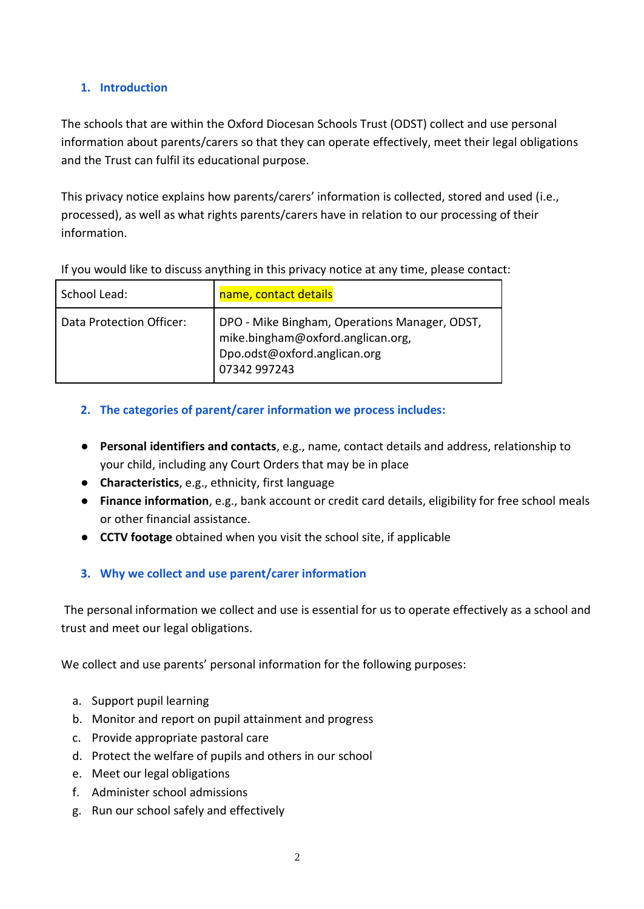# <span id="page-1-0"></span>**1. Introduction**

The schools that are within the Oxford Diocesan Schools Trust (ODST) collect and use personal information about parents/carers so that they can operate effectively, meet their legal obligations and the Trust can fulfil its educational purpose.

This privacy notice explains how parents/carers' information is collected, stored and used (i.e., processed), as well as what rights parents/carers have in relation to our processing of their information.

| School Lead:             | name, contact details                                                                                                              |
|--------------------------|------------------------------------------------------------------------------------------------------------------------------------|
| Data Protection Officer: | DPO - Mike Bingham, Operations Manager, ODST,<br>mike.bingham@oxford.anglican.org,<br>Dpo.odst@oxford.anglican.org<br>07342 997243 |

#### <span id="page-1-1"></span>**2. The categories of parent/carer information we process includes:**

- **Personal identifiers and contacts**, e.g., name, contact details and address, relationship to your child, including any Court Orders that may be in place
- **Characteristics**, e.g., ethnicity, first language
- **Finance information**, e.g., bank account or credit card details, eligibility for free school meals or other financial assistance.
- **CCTV footage** obtained when you visit the school site, if applicable

# <span id="page-1-2"></span>**3. Why we collect and use parent/carer information**

The personal information we collect and use is essential for us to operate effectively as a school and trust and meet our legal obligations.

We collect and use parents' personal information for the following purposes:

- a. Support pupil learning
- b. Monitor and report on pupil attainment and progress
- c. Provide appropriate pastoral care
- d. Protect the welfare of pupils and others in our school
- e. Meet our legal obligations
- f. Administer school admissions
- g. Run our school safely and effectively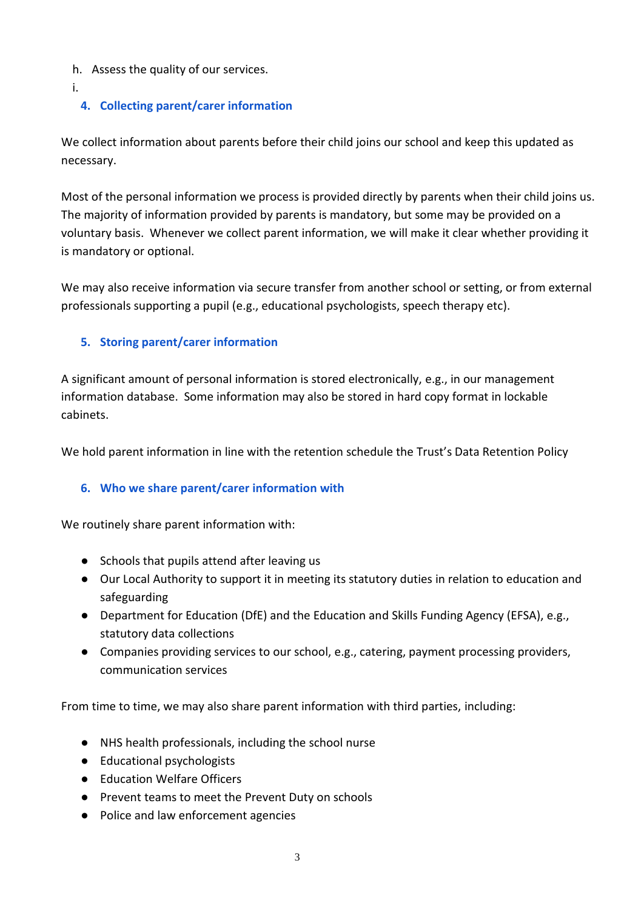- h. Assess the quality of our services.
- i.

# <span id="page-2-0"></span>**4. Collecting parent/carer information**

We collect information about parents before their child joins our school and keep this updated as necessary.

Most of the personal information we process is provided directly by parents when their child joins us. The majority of information provided by parents is mandatory, but some may be provided on a voluntary basis. Whenever we collect parent information, we will make it clear whether providing it is mandatory or optional.

We may also receive information via secure transfer from another school or setting, or from external professionals supporting a pupil (e.g., educational psychologists, speech therapy etc).

#### <span id="page-2-1"></span>**5. Storing parent/carer information**

A significant amount of personal information is stored electronically, e.g., in our management information database. Some information may also be stored in hard copy format in lockable cabinets.

We hold parent information in line with the retention schedule the Trust's Data Retention Policy

# <span id="page-2-2"></span>**6. Who we share parent/carer information with**

We routinely share parent information with:

- Schools that pupils attend after leaving us
- Our Local Authority to support it in meeting its statutory duties in relation to education and safeguarding
- Department for Education (DfE) and the Education and Skills Funding Agency (EFSA), e.g., statutory data collections
- Companies providing services to our school, e.g., catering, payment processing providers, communication services

From time to time, we may also share parent information with third parties, including:

- NHS health professionals, including the school nurse
- Educational psychologists
- Education Welfare Officers
- Prevent teams to meet the Prevent Duty on schools
- Police and law enforcement agencies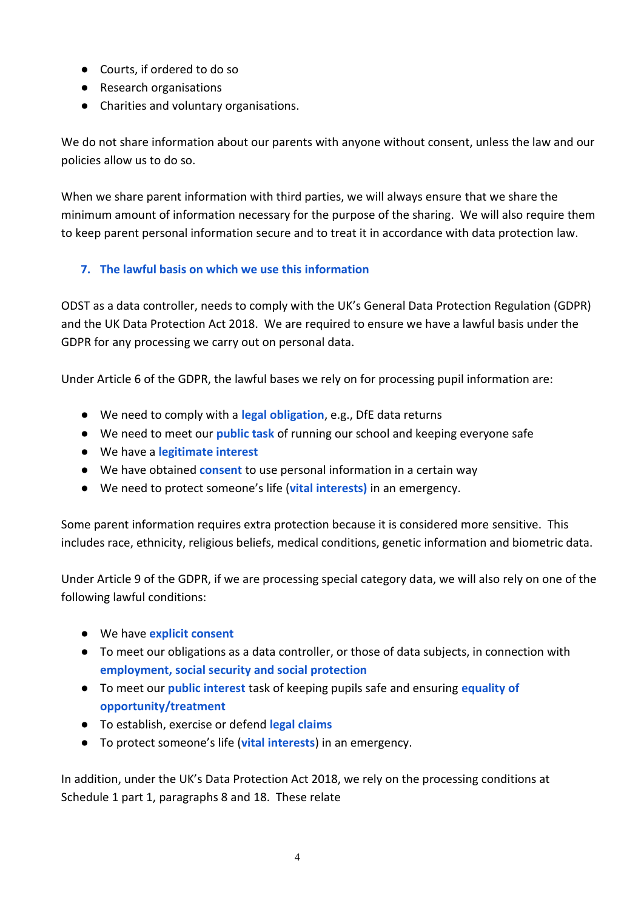- Courts, if ordered to do so
- Research organisations
- Charities and voluntary organisations.

We do not share information about our parents with anyone without consent, unless the law and our policies allow us to do so.

When we share parent information with third parties, we will always ensure that we share the minimum amount of information necessary for the purpose of the sharing. We will also require them to keep parent personal information secure and to treat it in accordance with data protection law.

#### <span id="page-3-0"></span>**7. The lawful basis on which we use this information**

ODST as a data controller, needs to comply with the UK's General Data Protection Regulation (GDPR) and the UK Data Protection Act 2018. We are required to ensure we have a lawful basis under the GDPR for any processing we carry out on personal data.

Under Article 6 of the GDPR, the lawful bases we rely on for processing pupil information are:

- We need to comply with a **legal obligation**, e.g., DfE data returns
- We need to meet our **public task** of running our school and keeping everyone safe
- We have a **legitimate interest**
- We have obtained **consent** to use personal information in a certain way
- We need to protect someone's life (**vital interests)** in an emergency.

Some parent information requires extra protection because it is considered more sensitive. This includes race, ethnicity, religious beliefs, medical conditions, genetic information and biometric data.

Under Article 9 of the GDPR, if we are processing special category data, we will also rely on one of the following lawful conditions:

- We have **explicit consent**
- To meet our obligations as a data controller, or those of data subjects, in connection with **employment, social security and social protection**
- To meet our **public interest** task of keeping pupils safe and ensuring **equality of opportunity/treatment**
- To establish, exercise or defend **legal claims**
- To protect someone's life (**vital interests**) in an emergency.

In addition, under the UK's Data Protection Act 2018, we rely on the processing conditions at Schedule 1 part 1, paragraphs 8 and 18. These relate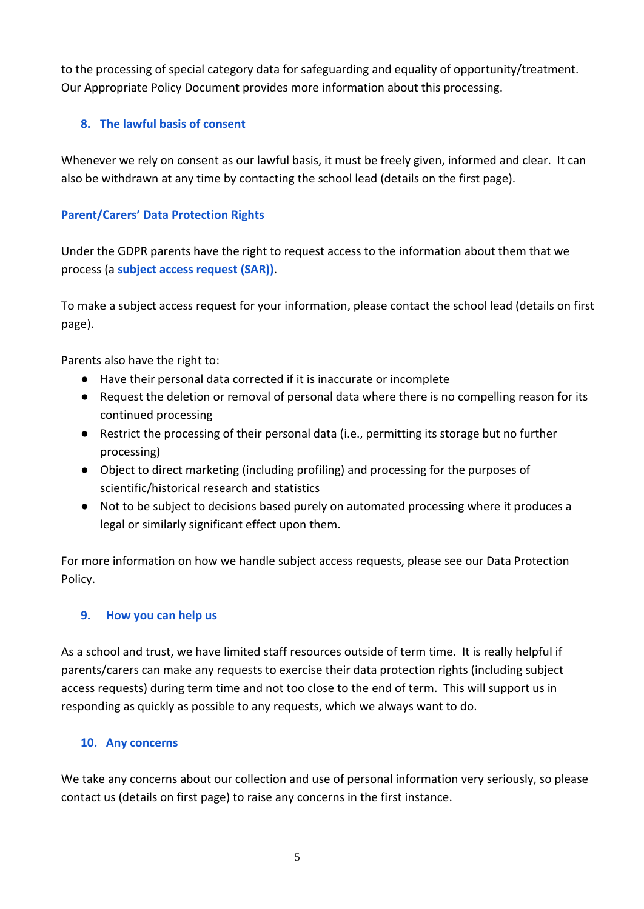to the processing of special category data for safeguarding and equality of opportunity/treatment. Our Appropriate Policy Document provides more information about this processing.

# <span id="page-4-0"></span>**8. The lawful basis of consent**

Whenever we rely on consent as our lawful basis, it must be freely given, informed and clear. It can also be withdrawn at any time by contacting the school lead (details on the first page).

#### <span id="page-4-1"></span>**Parent/Carers' Data Protection Rights**

Under the GDPR parents have the right to request access to the information about them that we process (a **subject access request (SAR))**.

To make a subject access request for your information, please contact the school lead (details on first page).

Parents also have the right to:

- Have their personal data corrected if it is inaccurate or incomplete
- Request the deletion or removal of personal data where there is no compelling reason for its continued processing
- Restrict the processing of their personal data (i.e., permitting its storage but no further processing)
- Object to direct marketing (including profiling) and processing for the purposes of scientific/historical research and statistics
- Not to be subject to decisions based purely on automated processing where it produces a legal or similarly significant effect upon them.

For more information on how we handle subject access requests, please see our Data Protection Policy.

# <span id="page-4-2"></span>**9. How you can help us**

As a school and trust, we have limited staff resources outside of term time. It is really helpful if parents/carers can make any requests to exercise their data protection rights (including subject access requests) during term time and not too close to the end of term. This will support us in responding as quickly as possible to any requests, which we always want to do.

#### <span id="page-4-3"></span>**10. Any concerns**

We take any concerns about our collection and use of personal information very seriously, so please contact us (details on first page) to raise any concerns in the first instance.